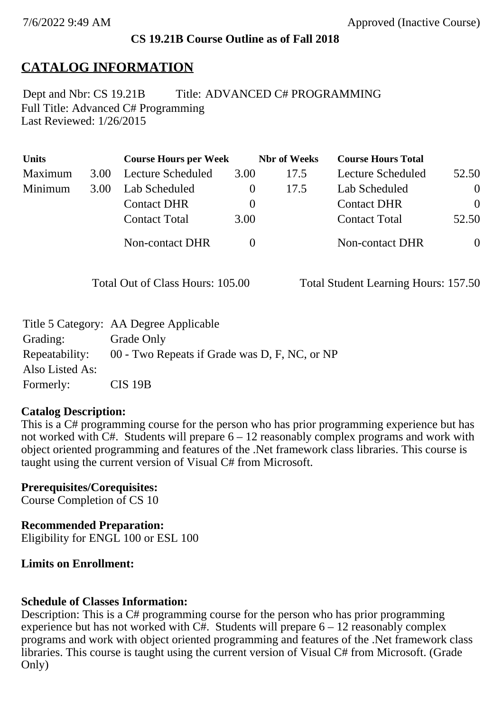#### **CS 19.21B Course Outline as of Fall 2018**

## **CATALOG INFORMATION**

Full Title: Advanced C# Programming Last Reviewed: 1/26/2015 Dept and Nbr: CS 19.21B Title: ADVANCED C# PROGRAMMING

| <b>Units</b> |      | <b>Course Hours per Week</b> |          | <b>Nbr</b> of Weeks | <b>Course Hours Total</b> |          |
|--------------|------|------------------------------|----------|---------------------|---------------------------|----------|
| Maximum      | 3.00 | Lecture Scheduled            | 3.00     | 17.5                | Lecture Scheduled         | 52.50    |
| Minimum      | 3.00 | Lab Scheduled                |          | 17.5                | Lab Scheduled             | $\theta$ |
|              |      | <b>Contact DHR</b>           | $\theta$ |                     | <b>Contact DHR</b>        | $\Omega$ |
|              |      | <b>Contact Total</b>         | 3.00     |                     | <b>Contact Total</b>      | 52.50    |
|              |      | Non-contact DHR              |          |                     | <b>Non-contact DHR</b>    | $\theta$ |

Total Out of Class Hours: 105.00 Total Student Learning Hours: 157.50

|                 | Title 5 Category: AA Degree Applicable        |
|-----------------|-----------------------------------------------|
| Grading:        | Grade Only                                    |
| Repeatability:  | 00 - Two Repeats if Grade was D, F, NC, or NP |
| Also Listed As: |                                               |
| Formerly:       | $CIS$ 19 $B$                                  |

#### **Catalog Description:**

This is a C# programming course for the person who has prior programming experience but has not worked with  $C#$ . Students will prepare  $6 - 12$  reasonably complex programs and work with object oriented programming and features of the .Net framework class libraries. This course is taught using the current version of Visual C# from Microsoft.

**Prerequisites/Corequisites:** Course Completion of CS 10

**Recommended Preparation:** Eligibility for ENGL 100 or ESL 100

### **Limits on Enrollment:**

### **Schedule of Classes Information:**

Description: This is a C# programming course for the person who has prior programming experience but has not worked with  $\overrightarrow{CH}$ . Students will prepare 6 – 12 reasonably complex programs and work with object oriented programming and features of the .Net framework class libraries. This course is taught using the current version of Visual C# from Microsoft. (Grade Only)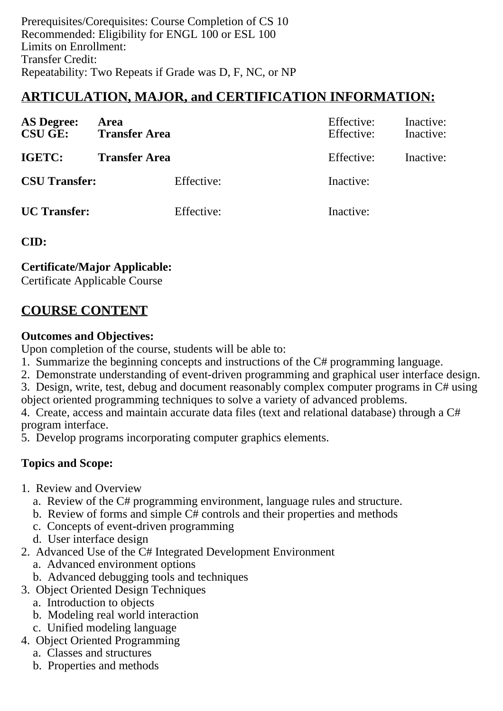Prerequisites/Corequisites: Course Completion of CS 10 Recommended: Eligibility for ENGL 100 or ESL 100 Limits on Enrollment: Transfer Credit: Repeatability: Two Repeats if Grade was D, F, NC, or NP

# **ARTICULATION, MAJOR, and CERTIFICATION INFORMATION:**

| <b>AS Degree:</b><br><b>CSU GE:</b> | Area<br><b>Transfer Area</b> | Effective:<br>Effective: | Inactive:<br>Inactive: |
|-------------------------------------|------------------------------|--------------------------|------------------------|
| IGETC:                              | <b>Transfer Area</b>         | Effective:               | Inactive:              |
| <b>CSU Transfer:</b>                | Effective:                   | Inactive:                |                        |
| <b>UC</b> Transfer:                 | Effective:                   | Inactive:                |                        |

**CID:**

**Certificate/Major Applicable:** 

[Certificate Applicable Course](SR_ClassCheck.aspx?CourseKey=CS19.21B)

# **COURSE CONTENT**

### **Outcomes and Objectives:**

Upon completion of the course, students will be able to:

- 1. Summarize the beginning concepts and instructions of the C# programming language.
- 2. Demonstrate understanding of event-driven programming and graphical user interface design.
- 3. Design, write, test, debug and document reasonably complex computer programs in C# using

object oriented programming techniques to solve a variety of advanced problems.

4. Create, access and maintain accurate data files (text and relational database) through a C# program interface.

5. Develop programs incorporating computer graphics elements.

## **Topics and Scope:**

- 1. Review and Overview
	- a. Review of the C# programming environment, language rules and structure.
	- b. Review of forms and simple C# controls and their properties and methods
	- c. Concepts of event-driven programming
	- d. User interface design
- 2. Advanced Use of the C# Integrated Development Environment
	- a. Advanced environment options
	- b. Advanced debugging tools and techniques
- 3. Object Oriented Design Techniques
	- a. Introduction to objects
	- b. Modeling real world interaction
	- c. Unified modeling language
- 4. Object Oriented Programming
	- a. Classes and structures
	- b. Properties and methods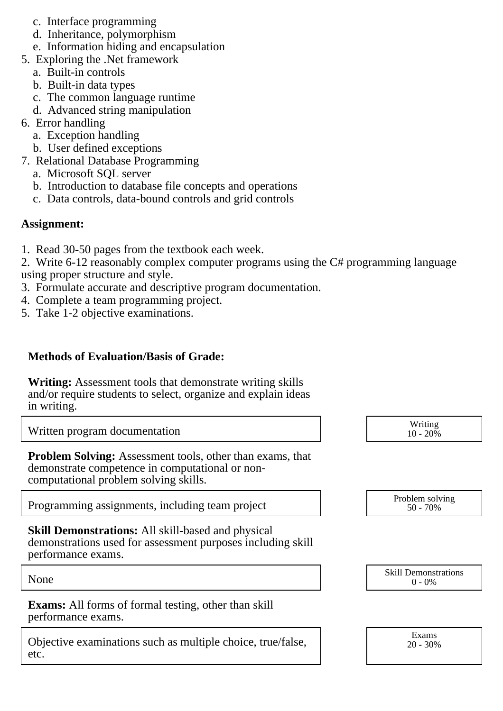- c. Interface programming
- d. Inheritance, polymorphism
- e. Information hiding and encapsulation
- 5. Exploring the .Net framework
	- a. Built-in controls
	- b. Built-in data types
	- c. The common language runtime
	- d. Advanced string manipulation
- 6. Error handling
	- a. Exception handling
	- b. User defined exceptions
- 7. Relational Database Programming
	- a. Microsoft SQL server
	- b. Introduction to database file concepts and operations
	- c. Data controls, data-bound controls and grid controls

### **Assignment:**

1. Read 30-50 pages from the textbook each week.

2. Write 6-12 reasonably complex computer programs using the C# programming language using proper structure and style.

- 3. Formulate accurate and descriptive program documentation.
- 4. Complete a team programming project.
- 5. Take 1-2 objective examinations.

## **Methods of Evaluation/Basis of Grade:**

**Writing:** Assessment tools that demonstrate writing skills and/or require students to select, organize and explain ideas in writing.

Written program documentation and the set of the Music Section of the Music Section Article of the Music Section Article of the Music Section 10 - 20%

**Problem Solving:** Assessment tools, other than exams, that demonstrate competence in computational or noncomputational problem solving skills.

Programming assignments, including team project

**Skill Demonstrations:** All skill-based and physical demonstrations used for assessment purposes including skill performance exams.

**Exams:** All forms of formal testing, other than skill performance exams.

Objective examinations such as multiple choice, true/false, etc.

 $10 - 20\%$ 

| Problem solving |  |  |  |
|-----------------|--|--|--|
| $50 - 70\%$     |  |  |  |

None Skill Demonstrations<br>  $\begin{array}{c} \text{Skill,} \\ 0 \text{ - } 0\% \end{array}$  $0 - 0\%$ 

> Exams 20 - 30%